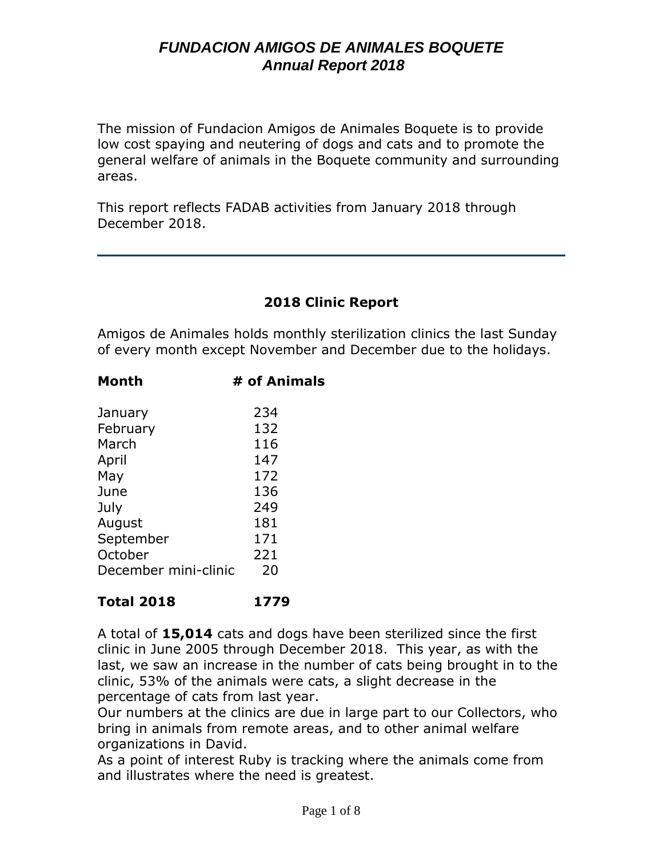The mission of Fundacion Amigos de Animales Boquete is to provide low cost spaying and neutering of dogs and cats and to promote the general welfare of animals in the Boquete community and surrounding areas.

This report reflects FADAB activities from January 2018 through December 2018.

### **2018 Clinic Report**

Amigos de Animales holds monthly sterilization clinics the last Sunday of every month except November and December due to the holidays.

| Month                | # of Animals |
|----------------------|--------------|
| January              | 234          |
| February             | 132          |
| March                | 116          |
| April                | 147          |
| May                  | 172          |
| June                 | 136          |
| July                 | 249          |
| August               | 181          |
| September            | 171          |
| October              | 221          |
| December mini-clinic | 20           |
|                      |              |

#### **Total 2018 1779**

A total of **15,014** cats and dogs have been sterilized since the first clinic in June 2005 through December 2018. This year, as with the last, we saw an increase in the number of cats being brought in to the clinic, 53% of the animals were cats, a slight decrease in the percentage of cats from last year.

Our numbers at the clinics are due in large part to our Collectors, who bring in animals from remote areas, and to other animal welfare organizations in David.

As a point of interest Ruby is tracking where the animals come from and illustrates where the need is greatest.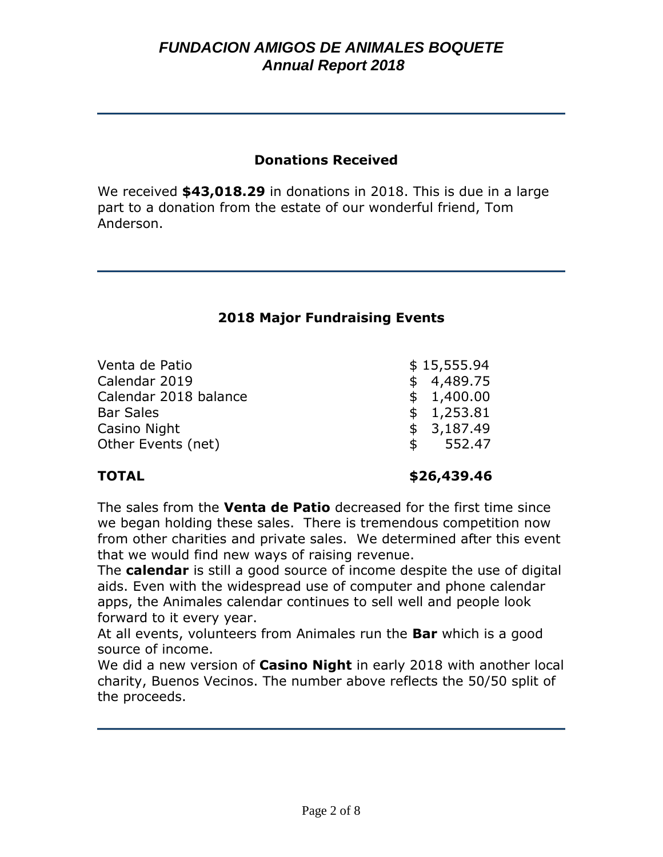#### **Donations Received**

We received **\$43,018.29** in donations in 2018. This is due in a large part to a donation from the estate of our wonderful friend, Tom Anderson.

#### **2018 Major Fundraising Events**

| Venta de Patio        |             | \$15,555.94 |
|-----------------------|-------------|-------------|
| Calendar 2019         |             | \$4,489.75  |
| Calendar 2018 balance |             | \$1,400.00  |
| <b>Bar Sales</b>      |             | \$1,253.81  |
| Casino Night          |             | \$3,187.49  |
| Other Events (net)    | $\mathsf S$ | 552.47      |
|                       |             |             |

**TOTAL \$26,439.46**

The sales from the **Venta de Patio** decreased for the first time since we began holding these sales. There is tremendous competition now from other charities and private sales. We determined after this event that we would find new ways of raising revenue.

The **calendar** is still a good source of income despite the use of digital aids. Even with the widespread use of computer and phone calendar apps, the Animales calendar continues to sell well and people look forward to it every year.

At all events, volunteers from Animales run the **Bar** which is a good source of income.

We did a new version of **Casino Night** in early 2018 with another local charity, Buenos Vecinos. The number above reflects the 50/50 split of the proceeds.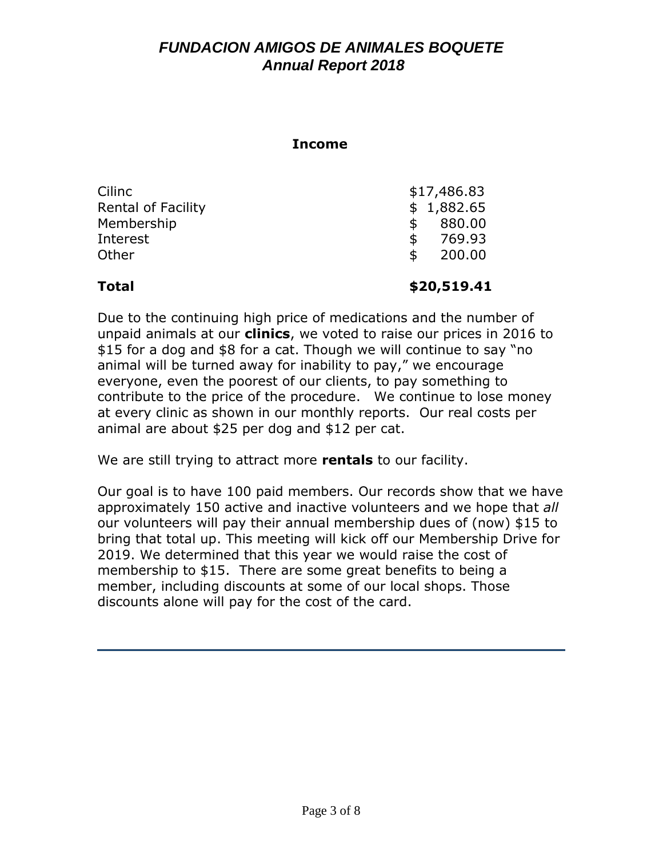#### **Income**

| Cilinc                    | \$17,486.83  |
|---------------------------|--------------|
| <b>Rental of Facility</b> | \$1,882.65   |
| Membership                | 880.00<br>S  |
| Interest                  | 769.93<br>\$ |
| Other                     | 200.00<br>\$ |
|                           |              |

#### **Total \$20,519.41**

Due to the continuing high price of medications and the number of unpaid animals at our **clinics**, we voted to raise our prices in 2016 to \$15 for a dog and \$8 for a cat. Though we will continue to say "no animal will be turned away for inability to pay," we encourage everyone, even the poorest of our clients, to pay something to contribute to the price of the procedure.We continue to lose money at every clinic as shown in our monthly reports. Our real costs per animal are about \$25 per dog and \$12 per cat.

We are still trying to attract more **rentals** to our facility.

Our goal is to have 100 paid members. Our records show that we have approximately 150 active and inactive volunteers and we hope that *all* our volunteers will pay their annual membership dues of (now) \$15 to bring that total up. This meeting will kick off our Membership Drive for 2019. We determined that this year we would raise the cost of membership to \$15. There are some great benefits to being a member, including discounts at some of our local shops. Those discounts alone will pay for the cost of the card.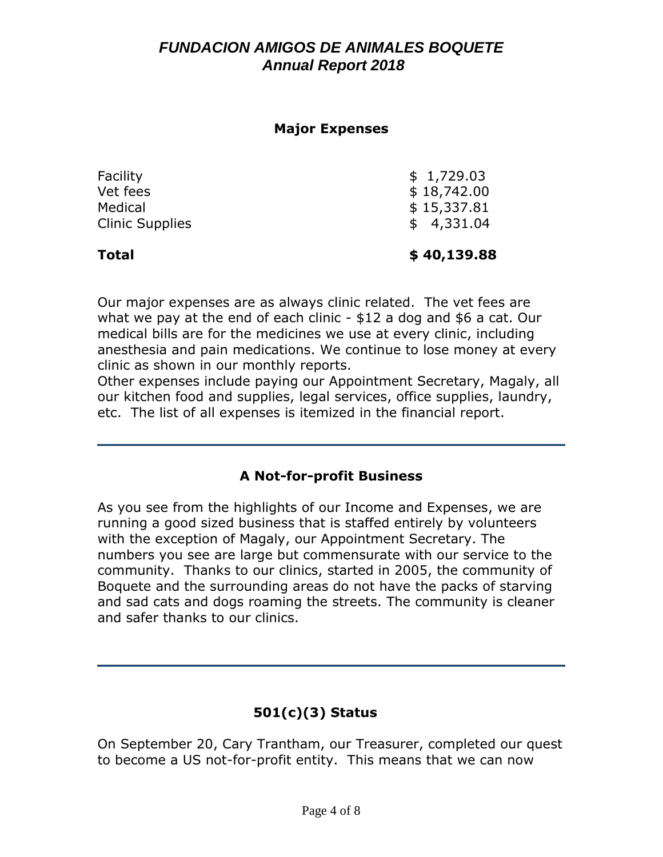#### **Major Expenses**

| <b>Total</b>           | \$40,139.88 |
|------------------------|-------------|
| <b>Clinic Supplies</b> | \$4,331.04  |
| Medical                | \$15,337.81 |
| Vet fees               | \$18,742.00 |
| Facility               | \$1,729.03  |

Our major expenses are as always clinic related. The vet fees are what we pay at the end of each clinic - \$12 a dog and \$6 a cat. Our medical bills are for the medicines we use at every clinic, including anesthesia and pain medications. We continue to lose money at every clinic as shown in our monthly reports.

Other expenses include paying our Appointment Secretary, Magaly, all our kitchen food and supplies, legal services, office supplies, laundry, etc. The list of all expenses is itemized in the financial report.

## **A Not-for-profit Business**

As you see from the highlights of our Income and Expenses, we are running a good sized business that is staffed entirely by volunteers with the exception of Magaly, our Appointment Secretary. The numbers you see are large but commensurate with our service to the community. Thanks to our clinics, started in 2005, the community of Boquete and the surrounding areas do not have the packs of starving and sad cats and dogs roaming the streets. The community is cleaner and safer thanks to our clinics.

# **501(c)(3) Status**

On September 20, Cary Trantham, our Treasurer, completed our quest to become a US not-for-profit entity. This means that we can now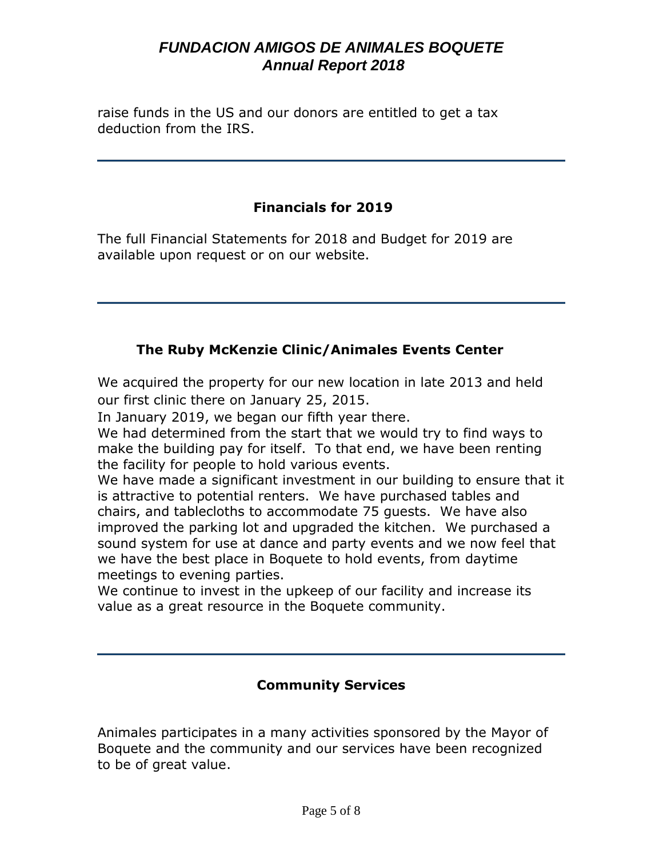raise funds in the US and our donors are entitled to get a tax deduction from the IRS.

## **Financials for 2019**

The full Financial Statements for 2018 and Budget for 2019 are available upon request or on our website.

## **The Ruby McKenzie Clinic/Animales Events Center**

We acquired the property for our new location in late 2013 and held our first clinic there on January 25, 2015.

In January 2019, we began our fifth year there.

We had determined from the start that we would try to find ways to make the building pay for itself. To that end, we have been renting the facility for people to hold various events.

We have made a significant investment in our building to ensure that it is attractive to potential renters. We have purchased tables and chairs, and tablecloths to accommodate 75 guests. We have also improved the parking lot and upgraded the kitchen. We purchased a sound system for use at dance and party events and we now feel that we have the best place in Boquete to hold events, from daytime meetings to evening parties.

We continue to invest in the upkeep of our facility and increase its value as a great resource in the Boquete community.

### **Community Services**

Animales participates in a many activities sponsored by the Mayor of Boquete and the community and our services have been recognized to be of great value.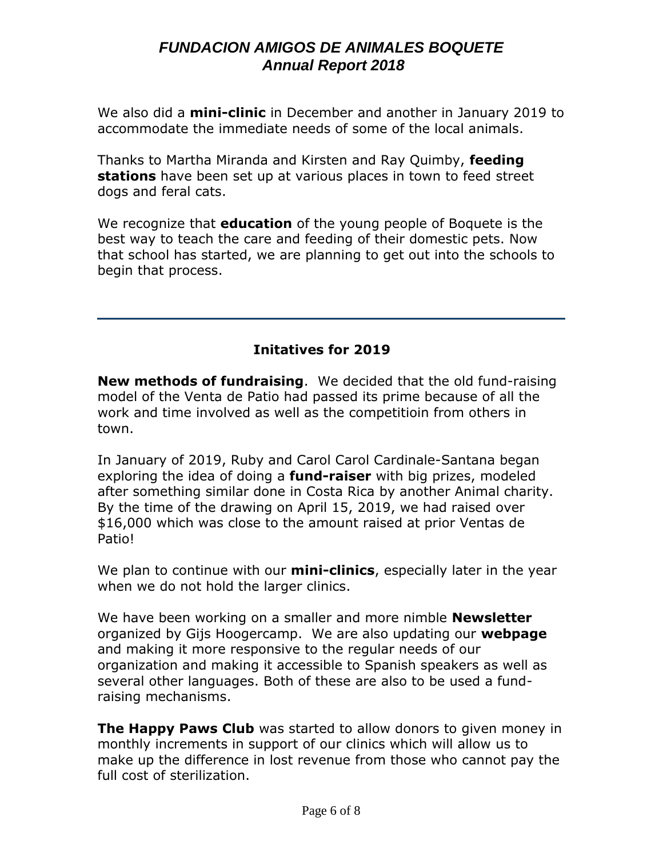We also did a **mini-clinic** in December and another in January 2019 to accommodate the immediate needs of some of the local animals.

Thanks to Martha Miranda and Kirsten and Ray Quimby, **feeding stations** have been set up at various places in town to feed street dogs and feral cats.

We recognize that **education** of the young people of Boquete is the best way to teach the care and feeding of their domestic pets. Now that school has started, we are planning to get out into the schools to begin that process.

## **Initatives for 2019**

**New methods of fundraising**. We decided that the old fund-raising model of the Venta de Patio had passed its prime because of all the work and time involved as well as the competitioin from others in town.

In January of 2019, Ruby and Carol Carol Cardinale-Santana began exploring the idea of doing a **fund-raiser** with big prizes, modeled after something similar done in Costa Rica by another Animal charity. By the time of the drawing on April 15, 2019, we had raised over \$16,000 which was close to the amount raised at prior Ventas de Patio!

We plan to continue with our **mini-clinics**, especially later in the year when we do not hold the larger clinics.

We have been working on a smaller and more nimble **Newsletter** organized by Gijs Hoogercamp. We are also updating our **webpage** and making it more responsive to the regular needs of our organization and making it accessible to Spanish speakers as well as several other languages. Both of these are also to be used a fundraising mechanisms.

**The Happy Paws Club** was started to allow donors to given money in monthly increments in support of our clinics which will allow us to make up the difference in lost revenue from those who cannot pay the full cost of sterilization.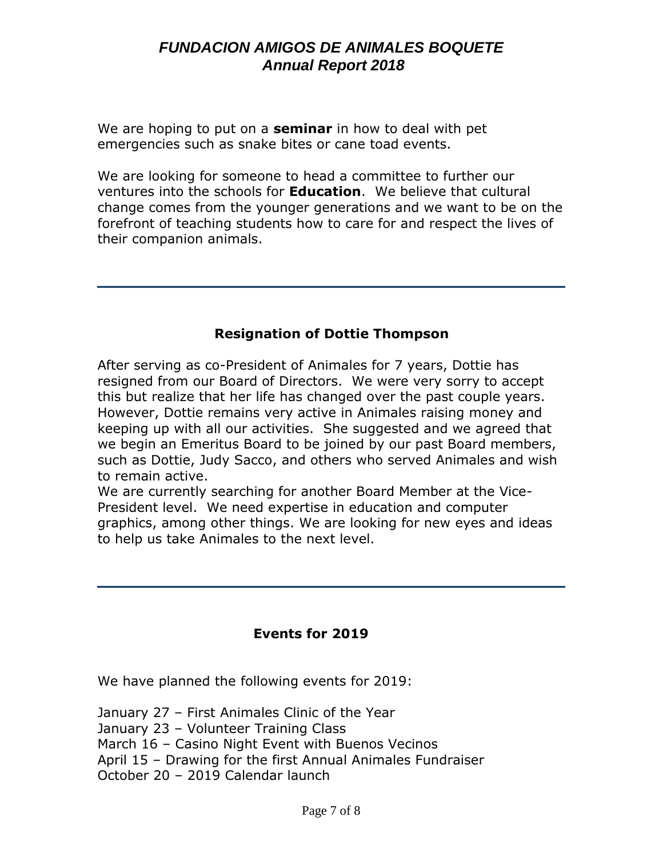We are hoping to put on a **seminar** in how to deal with pet emergencies such as snake bites or cane toad events.

We are looking for someone to head a committee to further our ventures into the schools for **Education**. We believe that cultural change comes from the younger generations and we want to be on the forefront of teaching students how to care for and respect the lives of their companion animals.

### **Resignation of Dottie Thompson**

After serving as co-President of Animales for 7 years, Dottie has resigned from our Board of Directors. We were very sorry to accept this but realize that her life has changed over the past couple years. However, Dottie remains very active in Animales raising money and keeping up with all our activities. She suggested and we agreed that we begin an Emeritus Board to be joined by our past Board members, such as Dottie, Judy Sacco, and others who served Animales and wish to remain active.

We are currently searching for another Board Member at the Vice-President level. We need expertise in education and computer graphics, among other things. We are looking for new eyes and ideas to help us take Animales to the next level.

#### **Events for 2019**

We have planned the following events for 2019:

January 27 – First Animales Clinic of the Year January 23 – Volunteer Training Class March 16 – Casino Night Event with Buenos Vecinos April 15 – Drawing for the first Annual Animales Fundraiser October 20 – 2019 Calendar launch